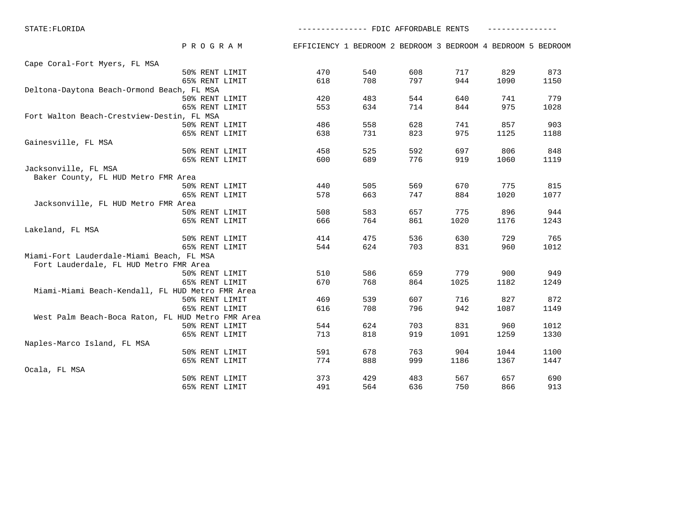STATE:FLORIDA --------------- FDIC AFFORDABLE RENTS ---------------

 50% RENT LIMIT 373 429 483 567 657 690 65% RENT LIMIT 491 564 636 750 866 913

 P R O G R A M EFFICIENCY 1 BEDROOM 2 BEDROOM 3 BEDROOM 4 BEDROOM 5 BEDROOM Cape Coral-Fort Myers, FL MSA 50% RENT LIMIT 470 540 608 717 829 873 65% RENT LIMIT 618 708 797 944 1090 1150 Deltona-Daytona Beach-Ormond Beach, FL MSA 50% RENT LIMIT 420 483 544 640 741 779 65% RENT LIMIT 553 634 714 844 975 1028 Fort Walton Beach-Crestview-Destin, FL MSA 50% RENT LIMIT 486 558 628 741 857 903 65% RENT LIMIT 638 731 823 975 1125 1188 Gainesville, FL MSA 50% RENT LIMIT 458 525 592 697 806 848 65% RENT LIMIT 600 689 776 919 1060 1119 Jacksonville, FL MSA Baker County, FL HUD Metro FMR Area 50% RENT LIMIT 440 505 569 670 775 815 65% RENT LIMIT 578 663 747 884 1020 1077 Jacksonville, FL HUD Metro FMR Area 50% RENT LIMIT 508 583 657 775 896 944 65% RENT LIMIT 666 764 861 1020 1176 1243 Lakeland, FL MSA 50% RENT LIMIT 414 475 536 630 729 765 65% RENT LIMIT 544 624 703 831 960 1012 Miami-Fort Lauderdale-Miami Beach, FL MSA Fort Lauderdale, FL HUD Metro FMR Area 50% RENT LIMIT 510 586 659 779 900 949 65% RENT LIMIT 670 768 864 1025 1182 1249 Miami-Miami Beach-Kendall, FL HUD Metro FMR Area 50% RENT LIMIT 469 539 607 716 827 872 65% RENT LIMIT 616 708 796 942 1087 1149 West Palm Beach-Boca Raton, FL HUD Metro FMR Area 50% RENT LIMIT 544 624 703 831 960 1012 65% RENT LIMIT 713 818 919 1091 1259 1330 Naples-Marco Island, FL MSA 50% RENT LIMIT 591 678 763 904 1044 1100 65% RENT LIMIT 774 888 999 1186 1367 1447 Ocala, FL MSA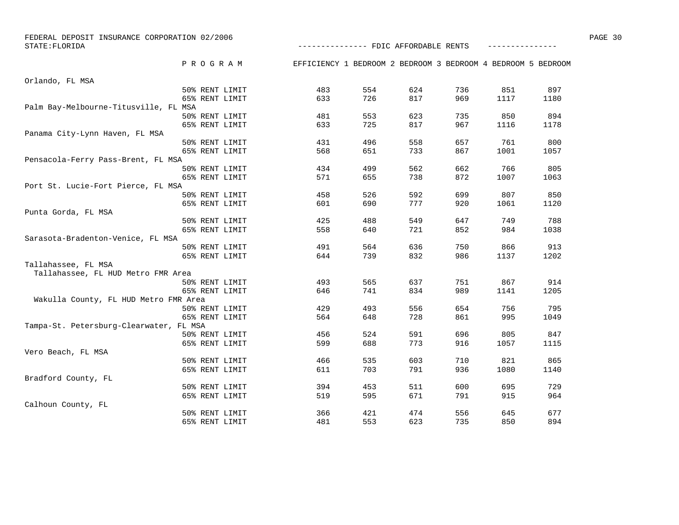| FEDERAL DEPOSIT INSURANCE CORPORATION 02/2006<br>STATE: FLORIDA | -------------- FDIC AFFORDABLE RENTS                         |     |     |     |      |      | PAGE 30 |
|-----------------------------------------------------------------|--------------------------------------------------------------|-----|-----|-----|------|------|---------|
| PROGRAM                                                         | EFFICIENCY 1 BEDROOM 2 BEDROOM 3 BEDROOM 4 BEDROOM 5 BEDROOM |     |     |     |      |      |         |
|                                                                 |                                                              |     |     |     |      |      |         |
| Orlando, FL MSA                                                 |                                                              |     |     |     |      |      |         |
| 50% RENT LIMIT                                                  | 483                                                          | 554 | 624 | 736 | 851  | 897  |         |
| 65% RENT LIMIT                                                  | 633                                                          | 726 | 817 | 969 | 1117 | 1180 |         |
| Palm Bay-Melbourne-Titusville, FL MSA                           |                                                              | 553 |     |     | 850  | 894  |         |
| 50% RENT LIMIT                                                  | 481                                                          |     | 623 | 735 |      |      |         |
| 65% RENT LIMIT                                                  | 633                                                          | 725 | 817 | 967 | 1116 | 1178 |         |
| Panama City-Lynn Haven, FL MSA<br>50% RENT LIMIT                |                                                              | 496 | 558 | 657 | 761  | 800  |         |
|                                                                 | 431                                                          |     |     |     |      | 1057 |         |
| 65% RENT LIMIT<br>Pensacola-Ferry Pass-Brent, FL MSA            | 568                                                          | 651 | 733 | 867 | 1001 |      |         |
| 50% RENT LIMIT                                                  | 434                                                          | 499 | 562 | 662 | 766  | 805  |         |
| 65% RENT LIMIT                                                  | 571                                                          | 655 | 738 | 872 | 1007 | 1063 |         |
| Port St. Lucie-Fort Pierce, FL MSA                              |                                                              |     |     |     |      |      |         |
| 50% RENT LIMIT                                                  | 458                                                          | 526 | 592 | 699 | 807  | 850  |         |
| 65% RENT LIMIT                                                  | 601                                                          | 690 | 777 | 920 | 1061 | 1120 |         |
| Punta Gorda, FL MSA                                             |                                                              |     |     |     |      |      |         |
| 50% RENT LIMIT                                                  | 425                                                          | 488 | 549 | 647 | 749  | 788  |         |
| 65% RENT LIMIT                                                  | 558                                                          | 640 | 721 | 852 | 984  | 1038 |         |
| Sarasota-Bradenton-Venice, FL MSA                               |                                                              |     |     |     |      |      |         |
| 50% RENT LIMIT                                                  | 491                                                          | 564 | 636 | 750 | 866  | 913  |         |
| 65% RENT LIMIT                                                  | 644                                                          | 739 | 832 | 986 | 1137 | 1202 |         |
| Tallahassee, FL MSA                                             |                                                              |     |     |     |      |      |         |
| Tallahassee, FL HUD Metro FMR Area                              |                                                              |     |     |     |      |      |         |
| 50% RENT LIMIT                                                  | 493                                                          | 565 | 637 | 751 | 867  | 914  |         |
| 65% RENT LIMIT                                                  | 646                                                          | 741 | 834 | 989 | 1141 | 1205 |         |
| Wakulla County, FL HUD Metro FMR Area                           |                                                              |     |     |     |      |      |         |
| 50% RENT LIMIT                                                  | 429                                                          | 493 | 556 | 654 | 756  | 795  |         |
| 65% RENT LIMIT                                                  | 564                                                          | 648 | 728 | 861 | 995  | 1049 |         |
| Tampa-St. Petersburg-Clearwater, FL MSA                         |                                                              |     |     |     |      |      |         |
| 50% RENT LIMIT                                                  | 456                                                          | 524 | 591 | 696 | 805  | 847  |         |
| 65% RENT LIMIT                                                  | 599                                                          | 688 | 773 | 916 | 1057 | 1115 |         |
| Vero Beach, FL MSA                                              |                                                              |     |     |     |      |      |         |
| 50% RENT LIMIT                                                  | 466                                                          | 535 | 603 | 710 | 821  | 865  |         |
| 65% RENT LIMIT                                                  | 611                                                          | 703 | 791 | 936 | 1080 | 1140 |         |
| Bradford County, FL                                             |                                                              |     |     |     |      |      |         |
| 50% RENT LIMIT                                                  | 394                                                          | 453 | 511 | 600 | 695  | 729  |         |
| 65% RENT LIMIT                                                  | 519                                                          | 595 | 671 | 791 | 915  | 964  |         |
| Calhoun County, FL                                              |                                                              |     |     |     |      |      |         |

50% RENT LIMIT 366 421 474 556 645 677

65% RENT LIMIT 481 553 623 735 850 894

677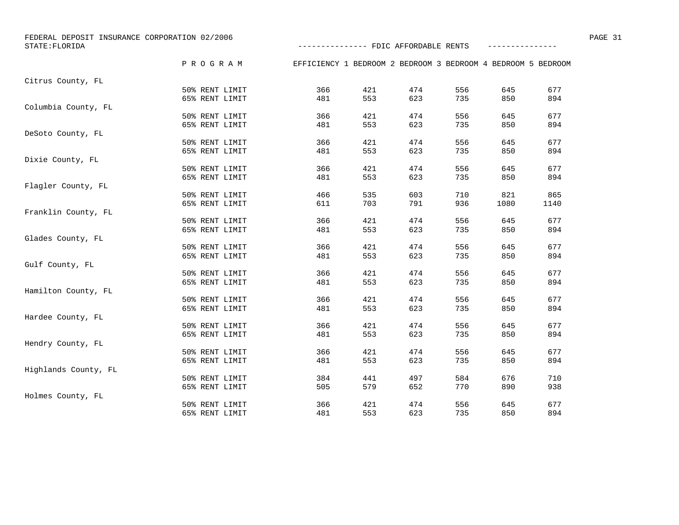| FEDERAL DEPOSIT INSURANCE CORPORATION 02/2006<br>STATE: FLORIDA |                | -------------- FDIC AFFORDABLE RENTS                         |     |     |     |      |      |  |
|-----------------------------------------------------------------|----------------|--------------------------------------------------------------|-----|-----|-----|------|------|--|
|                                                                 |                |                                                              |     |     |     |      |      |  |
|                                                                 | PROGRAM        | EFFICIENCY 1 BEDROOM 2 BEDROOM 3 BEDROOM 4 BEDROOM 5 BEDROOM |     |     |     |      |      |  |
| Citrus County, FL                                               |                |                                                              |     |     |     |      |      |  |
|                                                                 | 50% RENT LIMIT | 366                                                          | 421 | 474 | 556 | 645  | 677  |  |
|                                                                 | 65% RENT LIMIT | 481                                                          | 553 | 623 | 735 | 850  | 894  |  |
| Columbia County, FL                                             |                |                                                              |     |     |     |      |      |  |
|                                                                 | 50% RENT LIMIT | 366                                                          | 421 | 474 | 556 | 645  | 677  |  |
|                                                                 | 65% RENT LIMIT | 481                                                          | 553 | 623 | 735 | 850  | 894  |  |
| DeSoto County, FL                                               |                |                                                              |     |     |     |      |      |  |
|                                                                 | 50% RENT LIMIT | 366                                                          | 421 | 474 | 556 | 645  | 677  |  |
|                                                                 | 65% RENT LIMIT | 481                                                          | 553 | 623 | 735 | 850  | 894  |  |
| Dixie County, FL                                                |                |                                                              |     |     |     |      |      |  |
|                                                                 | 50% RENT LIMIT | 366                                                          | 421 | 474 | 556 | 645  | 677  |  |
|                                                                 | 65% RENT LIMIT | 481                                                          | 553 | 623 | 735 | 850  | 894  |  |
| Flagler County, FL                                              |                |                                                              |     |     |     |      |      |  |
|                                                                 | 50% RENT LIMIT | 466                                                          | 535 | 603 | 710 | 821  | 865  |  |
|                                                                 | 65% RENT LIMIT | 611                                                          | 703 | 791 | 936 | 1080 | 1140 |  |
| Franklin County, FL                                             |                |                                                              |     |     |     |      |      |  |
|                                                                 | 50% RENT LIMIT | 366                                                          | 421 | 474 | 556 | 645  | 677  |  |
|                                                                 | 65% RENT LIMIT | 481                                                          | 553 | 623 | 735 | 850  | 894  |  |
| Glades County, FL                                               |                |                                                              |     |     |     |      |      |  |
|                                                                 | 50% RENT LIMIT | 366                                                          | 421 | 474 | 556 | 645  | 677  |  |
|                                                                 | 65% RENT LIMIT | 481                                                          | 553 | 623 | 735 | 850  | 894  |  |
| Gulf County, FL                                                 |                |                                                              |     |     |     |      |      |  |
|                                                                 | 50% RENT LIMIT | 366                                                          | 421 | 474 | 556 | 645  | 677  |  |
|                                                                 | 65% RENT LIMIT | 481                                                          | 553 | 623 | 735 | 850  | 894  |  |
| Hamilton County, FL                                             |                |                                                              |     |     |     |      |      |  |
|                                                                 | 50% RENT LIMIT | 366                                                          | 421 | 474 | 556 | 645  | 677  |  |
|                                                                 | 65% RENT LIMIT | 481                                                          | 553 | 623 | 735 | 850  | 894  |  |
| Hardee County, FL                                               |                |                                                              |     |     |     |      |      |  |
|                                                                 | 50% RENT LIMIT | 366                                                          | 421 | 474 | 556 | 645  | 677  |  |
|                                                                 | 65% RENT LIMIT | 481                                                          | 553 | 623 | 735 | 850  | 894  |  |
| Hendry County, FL                                               |                |                                                              |     |     |     |      |      |  |
|                                                                 | 50% RENT LIMIT | 366                                                          | 421 | 474 | 556 | 645  | 677  |  |
|                                                                 | 65% RENT LIMIT | 481                                                          | 553 | 623 | 735 | 850  | 894  |  |
| Highlands County, FL                                            |                |                                                              |     |     |     |      |      |  |
|                                                                 | 50% RENT LIMIT | 384                                                          | 441 | 497 | 584 | 676  | 710  |  |
|                                                                 | 65% RENT LIMIT | 505                                                          | 579 | 652 | 770 | 890  | 938  |  |
| Holmes County, FL                                               |                |                                                              |     |     |     |      |      |  |
|                                                                 | 50% RENT LIMIT | 366                                                          | 421 | 474 | 556 | 645  | 677  |  |
|                                                                 | 65% RENT LIMIT | 481                                                          | 553 | 623 | 735 | 850  | 894  |  |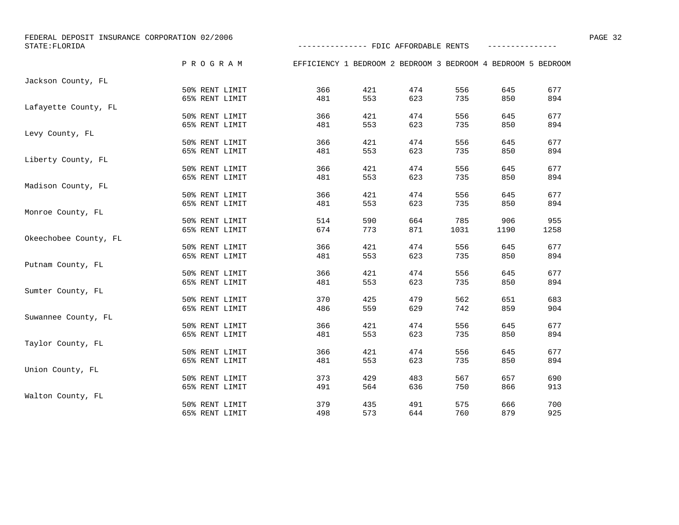| FEDERAL DEPOSIT INSURANCE CORPORATION 02/2006<br>STATE: FLORIDA |                                  | -------------- FDIC AFFORDABLE RENTS                         |            |            |            |            |            | PAGE 32 |
|-----------------------------------------------------------------|----------------------------------|--------------------------------------------------------------|------------|------------|------------|------------|------------|---------|
|                                                                 | PROGRAM                          | EFFICIENCY 1 BEDROOM 2 BEDROOM 3 BEDROOM 4 BEDROOM 5 BEDROOM |            |            |            |            |            |         |
| Jackson County, FL                                              |                                  |                                                              |            |            |            |            |            |         |
|                                                                 | 50% RENT LIMIT                   | 366                                                          | 421        | 474        | 556        | 645        | 677        |         |
|                                                                 | 65% RENT LIMIT                   | 481                                                          | 553        | 623        | 735        | 850        | 894        |         |
| Lafayette County, FL                                            |                                  |                                                              |            |            |            |            |            |         |
|                                                                 | 50% RENT LIMIT                   | 366                                                          | 421        | 474        | 556        | 645        | 677        |         |
|                                                                 | 65% RENT LIMIT                   | 481                                                          | 553        | 623        | 735        | 850        | 894        |         |
| Levy County, FL                                                 |                                  |                                                              |            |            |            |            |            |         |
|                                                                 | 50% RENT LIMIT                   | 366                                                          | 421        | 474        | 556        | 645        | 677        |         |
|                                                                 | 65% RENT LIMIT                   | 481                                                          | 553        | 623        | 735        | 850        | 894        |         |
| Liberty County, FL                                              |                                  |                                                              |            |            |            |            |            |         |
|                                                                 | 50% RENT LIMIT                   | 366                                                          | 421        | 474        | 556        | 645        | 677        |         |
|                                                                 | 65% RENT LIMIT                   | 481                                                          | 553        | 623        | 735        | 850        | 894        |         |
| Madison County, FL                                              |                                  |                                                              |            |            |            |            |            |         |
|                                                                 | 50% RENT LIMIT                   | 366                                                          | 421        | 474        | 556        | 645        | 677        |         |
|                                                                 | 65% RENT LIMIT                   | 481                                                          | 553        | 623        | 735        | 850        | 894        |         |
| Monroe County, FL                                               |                                  |                                                              |            |            |            |            |            |         |
|                                                                 | 50% RENT LIMIT                   | 514                                                          | 590        | 664        | 785        | 906        | 955        |         |
|                                                                 | 65% RENT LIMIT                   | 674                                                          | 773        | 871        | 1031       | 1190       | 1258       |         |
| Okeechobee County, FL                                           |                                  |                                                              |            |            |            |            |            |         |
|                                                                 | 50% RENT LIMIT                   | 366                                                          | 421        | 474        | 556        | 645        | 677        |         |
|                                                                 | 65% RENT LIMIT                   | 481                                                          | 553        | 623        | 735        | 850        | 894        |         |
| Putnam County, FL                                               |                                  |                                                              |            |            |            |            |            |         |
|                                                                 | 50% RENT LIMIT                   | 366                                                          | 421        | 474        | 556        | 645        | 677        |         |
|                                                                 | 65% RENT LIMIT                   | 481                                                          | 553        | 623        | 735        | 850        | 894        |         |
| Sumter County, FL                                               |                                  |                                                              |            |            |            |            |            |         |
|                                                                 | 50% RENT LIMIT                   | 370                                                          | 425        | 479        | 562        | 651        | 683        |         |
|                                                                 | 65% RENT LIMIT                   | 486                                                          | 559        | 629        | 742        | 859        | 904        |         |
| Suwannee County, FL                                             |                                  |                                                              |            |            |            |            |            |         |
|                                                                 | 50% RENT LIMIT                   | 366                                                          | 421        | 474        | 556        | 645        | 677        |         |
|                                                                 | 65% RENT LIMIT                   | 481                                                          | 553        | 623        | 735        | 850        | 894        |         |
| Taylor County, FL                                               |                                  | 366                                                          | 421        | 474        | 556        | 645        | 677        |         |
|                                                                 | 50% RENT LIMIT                   |                                                              |            |            |            |            |            |         |
|                                                                 | 65% RENT LIMIT                   | 481                                                          | 553        | 623        | 735        | 850        | 894        |         |
| Union County, FL                                                |                                  |                                                              |            |            |            |            |            |         |
|                                                                 | 50% RENT LIMIT<br>65% RENT LIMIT | 373<br>491                                                   | 429<br>564 | 483<br>636 | 567<br>750 | 657<br>866 | 690<br>913 |         |
|                                                                 |                                  |                                                              |            |            |            |            |            |         |
| Walton County, FL                                               | 50% RENT LIMIT                   | 379                                                          | 435        | 491        | 575        | 666        | 700        |         |
|                                                                 |                                  | 498                                                          | 573        | 644        | 760        | 879        | 925        |         |
|                                                                 | 65% RENT LIMIT                   |                                                              |            |            |            |            |            |         |